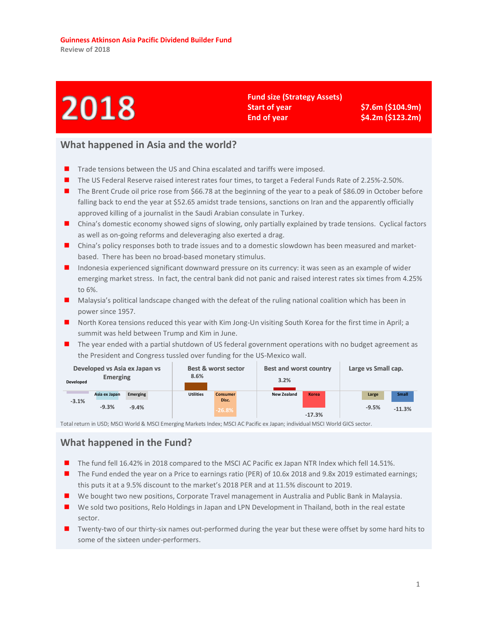# 2018

## **Fund size (Strategy Assets) Start of year** \$7.6m **(\$104.9m) End of year \$4.2m (\$123.2m)**

## **What happened in Asia and the world?**

- Trade tensions between the US and China escalated and tariffs were imposed.
- The US Federal Reserve raised interest rates four times, to target a Federal Funds Rate of 2.25%-2.50%.
- The Brent Crude oil price rose from \$66.78 at the beginning of the year to a peak of \$86.09 in October before falling back to end the year at \$52.65 amidst trade tensions, sanctions on Iran and the apparently officially approved killing of a journalist in the Saudi Arabian consulate in Turkey.
- China's domestic economy showed signs of slowing, only partially explained by trade tensions. Cyclical factors as well as on-going reforms and deleveraging also exerted a drag.
- China's policy responses both to trade issues and to a domestic slowdown has been measured and marketbased. There has been no broad-based monetary stimulus.
- Indonesia experienced significant downward pressure on its currency: it was seen as an example of wider emerging market stress. In fact, the central bank did not panic and raised interest rates six times from 4.25% to 6%.
- Malaysia's political landscape changed with the defeat of the ruling national coalition which has been in power since 1957.
- North Korea tensions reduced this year with Kim Jong-Un visiting South Korea for the first time in April; a summit was held between Trump and Kim in June.
- The year ended with a partial shutdown of US federal government operations with no budget agreement as the President and Congress tussled over funding for the US-Mexico wall.

| Developed vs Asia ex Japan vs<br><b>Emerging</b><br><b>Developed</b> |               |          | <b>Best &amp; worst sector</b><br>8.6% |                  | <b>Best and worst country</b><br>3.2% |  | Large vs Small cap. |          |  |  |         |              |  |
|----------------------------------------------------------------------|---------------|----------|----------------------------------------|------------------|---------------------------------------|--|---------------------|----------|--|--|---------|--------------|--|
| $-3.1%$                                                              | Asia ex Japan | Emerging |                                        | <b>Utilities</b> | <b>Consumer</b><br>Disc.              |  | <b>New Zealand</b>  | Korea    |  |  | Large   | <b>Small</b> |  |
|                                                                      | $-9.3%$       | $-9.4%$  |                                        |                  | $-26.8%$                              |  |                     | $-17.3%$ |  |  | $-9.5%$ | $-11.3%$     |  |

Total return in USD; MSCI World & MSCI Emerging Markets Index; MSCI AC Pacific ex Japan; individual MSCI World GICS sector.

## **What happened in the Fund?**

- The fund fell 16.42% in 2018 compared to the MSCI AC Pacific ex Japan NTR Index which fell 14.51%.
- The Fund ended the year on a Price to earnings ratio (PER) of 10.6x 2018 and 9.8x 2019 estimated earnings; this puts it at a 9.5% discount to the market's 2018 PER and at 11.5% discount to 2019.
- We bought two new positions, Corporate Travel management in Australia and Public Bank in Malaysia.
- We sold two positions, Relo Holdings in Japan and LPN Development in Thailand, both in the real estate sector.
- Twenty-two of our thirty-six names out-performed during the year but these were offset by some hard hits to some of the sixteen under-performers.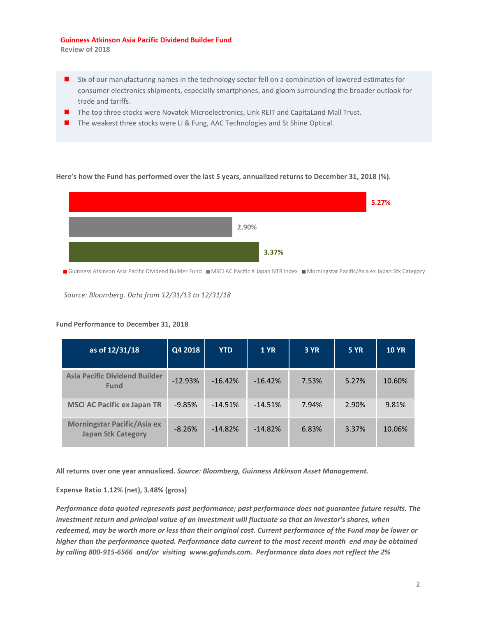**Review of 2018**

- Six of our manufacturing names in the technology sector fell on a combination of lowered estimates for consumer electronics shipments, especially smartphones, and gloom surrounding the broader outlook for trade and tariffs.
- The top three stocks were Novatek Microelectronics, Link REIT and CapitaLand Mall Trust.
- The weakest three stocks were Li & Fung, AAC Technologies and St Shine Optical.

#### **Here's how the Fund has performed over the last 5 years, annualized returns to December 31, 2018 (%).**



■Guinness Atkinson Asia Pacific Dividend Builder Fund MSCI AC Pacific X Japan NTR Index Morningstar Pacific/Asia ex Japan Stk Category

*Source: Bloomberg. Data from 12/31/13 to 12/31/18*

#### **Fund Performance to December 31, 2018**

| as of 12/31/18                                                  | Q4 2018   | <b>YTD</b> | <b>1 YR</b> | <b>3 YR</b> | <b>5 YR</b> | <b>10 YR</b> |
|-----------------------------------------------------------------|-----------|------------|-------------|-------------|-------------|--------------|
| <b>Asia Pacific Dividend Builder</b><br><b>Fund</b>             | $-12.93%$ | $-16.42%$  | $-16.42%$   | 7.53%       | 5.27%       | 10.60%       |
| <b>MSCI AC Pacific ex Japan TR</b>                              | $-9.85%$  | $-14.51%$  | $-14.51%$   | 7.94%       | 2.90%       | 9.81%        |
| <b>Morningstar Pacific/Asia ex</b><br><b>Japan Stk Category</b> | $-8.26%$  | $-14.82%$  | $-14.82%$   | 6.83%       | 3.37%       | 10.06%       |

**All returns over one year annualized.** *Source: Bloomberg, Guinness Atkinson Asset Management.*

#### **Expense Ratio 1.12% (net), 3.48% (gross)**

*Performance data quoted represents past performance; past performance does not guarantee future results. The investment return and principal value of an investment will fluctuate so that an investor's shares, when redeemed, may be worth more or less than their original cost. Current performance of the Fund may be lower or higher than the performance quoted. Performance data current to the most recent month end may be obtained by calling 800-915-6566 and/or visiting www.gafunds.com. Performance data does not reflect the 2%*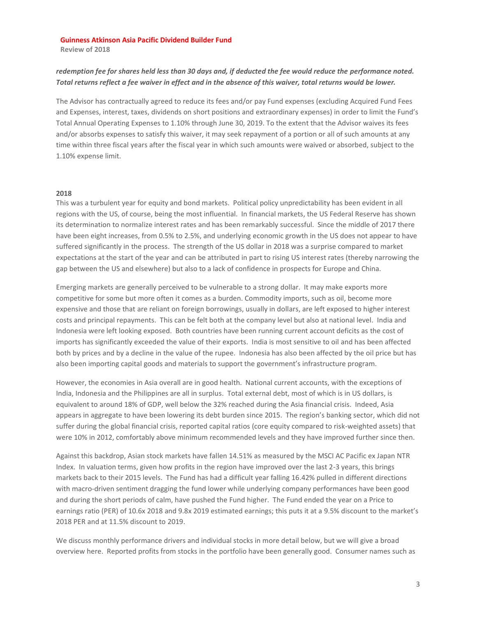### *redemption fee for shares held less than 30 days and, if deducted the fee would reduce the performance noted. Total returns reflect a fee waiver in effect and in the absence of this waiver, total returns would be lower.*

The Advisor has contractually agreed to reduce its fees and/or pay Fund expenses (excluding Acquired Fund Fees and Expenses, interest, taxes, dividends on short positions and extraordinary expenses) in order to limit the Fund's Total Annual Operating Expenses to 1.10% through June 30, 2019. To the extent that the Advisor waives its fees and/or absorbs expenses to satisfy this waiver, it may seek repayment of a portion or all of such amounts at any time within three fiscal years after the fiscal year in which such amounts were waived or absorbed, subject to the 1.10% expense limit.

#### **2018**

This was a turbulent year for equity and bond markets. Political policy unpredictability has been evident in all regions with the US, of course, being the most influential. In financial markets, the US Federal Reserve has shown its determination to normalize interest rates and has been remarkably successful. Since the middle of 2017 there have been eight increases, from 0.5% to 2.5%, and underlying economic growth in the US does not appear to have suffered significantly in the process. The strength of the US dollar in 2018 was a surprise compared to market expectations at the start of the year and can be attributed in part to rising US interest rates (thereby narrowing the gap between the US and elsewhere) but also to a lack of confidence in prospects for Europe and China.

Emerging markets are generally perceived to be vulnerable to a strong dollar. It may make exports more competitive for some but more often it comes as a burden. Commodity imports, such as oil, become more expensive and those that are reliant on foreign borrowings, usually in dollars, are left exposed to higher interest costs and principal repayments. This can be felt both at the company level but also at national level. India and Indonesia were left looking exposed. Both countries have been running current account deficits as the cost of imports has significantly exceeded the value of their exports. India is most sensitive to oil and has been affected both by prices and by a decline in the value of the rupee. Indonesia has also been affected by the oil price but has also been importing capital goods and materials to support the government's infrastructure program.

However, the economies in Asia overall are in good health. National current accounts, with the exceptions of India, Indonesia and the Philippines are all in surplus. Total external debt, most of which is in US dollars, is equivalent to around 18% of GDP, well below the 32% reached during the Asia financial crisis. Indeed, Asia appears in aggregate to have been lowering its debt burden since 2015. The region's banking sector, which did not suffer during the global financial crisis, reported capital ratios (core equity compared to risk-weighted assets) that were 10% in 2012, comfortably above minimum recommended levels and they have improved further since then.

Against this backdrop, Asian stock markets have fallen 14.51% as measured by the MSCI AC Pacific ex Japan NTR Index. In valuation terms, given how profits in the region have improved over the last 2-3 years, this brings markets back to their 2015 levels. The Fund has had a difficult year falling 16.42% pulled in different directions with macro-driven sentiment dragging the fund lower while underlying company performances have been good and during the short periods of calm, have pushed the Fund higher. The Fund ended the year on a Price to earnings ratio (PER) of 10.6x 2018 and 9.8x 2019 estimated earnings; this puts it at a 9.5% discount to the market's 2018 PER and at 11.5% discount to 2019.

We discuss monthly performance drivers and individual stocks in more detail below, but we will give a broad overview here. Reported profits from stocks in the portfolio have been generally good. Consumer names such as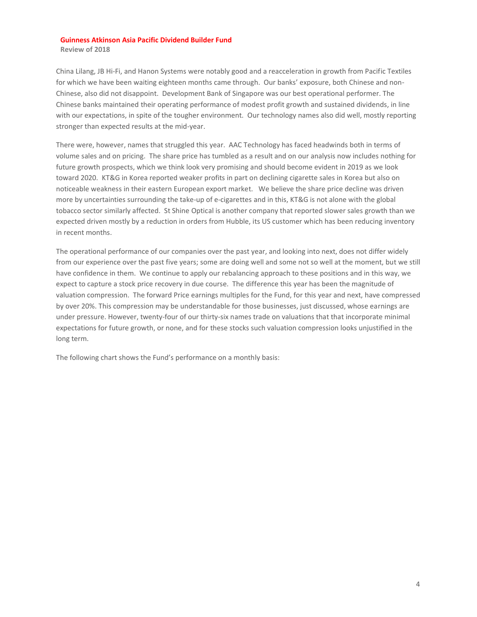**Review of 2018**

China Lilang, JB Hi-Fi, and Hanon Systems were notably good and a reacceleration in growth from Pacific Textiles for which we have been waiting eighteen months came through. Our banks' exposure, both Chinese and non-Chinese, also did not disappoint. Development Bank of Singapore was our best operational performer. The Chinese banks maintained their operating performance of modest profit growth and sustained dividends, in line with our expectations, in spite of the tougher environment. Our technology names also did well, mostly reporting stronger than expected results at the mid-year.

There were, however, names that struggled this year. AAC Technology has faced headwinds both in terms of volume sales and on pricing. The share price has tumbled as a result and on our analysis now includes nothing for future growth prospects, which we think look very promising and should become evident in 2019 as we look toward 2020. KT&G in Korea reported weaker profits in part on declining cigarette sales in Korea but also on noticeable weakness in their eastern European export market. We believe the share price decline was driven more by uncertainties surrounding the take-up of e-cigarettes and in this, KT&G is not alone with the global tobacco sector similarly affected. St Shine Optical is another company that reported slower sales growth than we expected driven mostly by a reduction in orders from Hubble, its US customer which has been reducing inventory in recent months.

The operational performance of our companies over the past year, and looking into next, does not differ widely from our experience over the past five years; some are doing well and some not so well at the moment, but we still have confidence in them. We continue to apply our rebalancing approach to these positions and in this way, we expect to capture a stock price recovery in due course. The difference this year has been the magnitude of valuation compression. The forward Price earnings multiples for the Fund, for this year and next, have compressed by over 20%. This compression may be understandable for those businesses, just discussed, whose earnings are under pressure. However, twenty-four of our thirty-six names trade on valuations that that incorporate minimal expectations for future growth, or none, and for these stocks such valuation compression looks unjustified in the long term.

The following chart shows the Fund's performance on a monthly basis: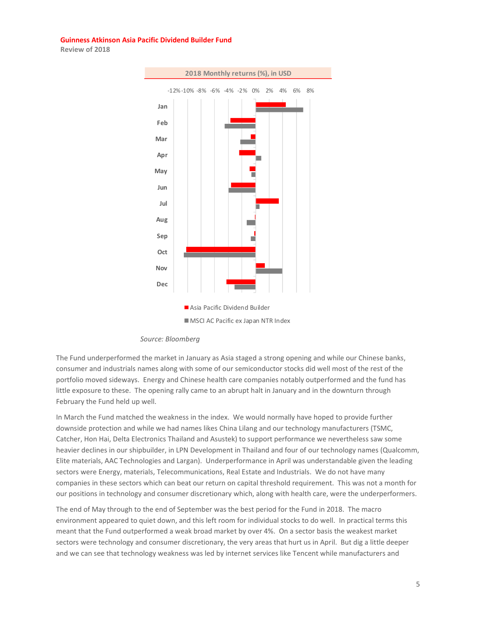**Review of 2018**



#### *Source: Bloomberg*

The Fund underperformed the market in January as Asia staged a strong opening and while our Chinese banks, consumer and industrials names along with some of our semiconductor stocks did well most of the rest of the portfolio moved sideways. Energy and Chinese health care companies notably outperformed and the fund has little exposure to these. The opening rally came to an abrupt halt in January and in the downturn through February the Fund held up well.

In March the Fund matched the weakness in the index. We would normally have hoped to provide further downside protection and while we had names likes China Lilang and our technology manufacturers (TSMC, Catcher, Hon Hai, Delta Electronics Thailand and Asustek) to support performance we nevertheless saw some heavier declines in our shipbuilder, in LPN Development in Thailand and four of our technology names (Qualcomm, Elite materials, AAC Technologies and Largan). Underperformance in April was understandable given the leading sectors were Energy, materials, Telecommunications, Real Estate and Industrials. We do not have many companies in these sectors which can beat our return on capital threshold requirement. This was not a month for our positions in technology and consumer discretionary which, along with health care, were the underperformers.

The end of May through to the end of September was the best period for the Fund in 2018. The macro environment appeared to quiet down, and this left room for individual stocks to do well. In practical terms this meant that the Fund outperformed a weak broad market by over 4%. On a sector basis the weakest market sectors were technology and consumer discretionary, the very areas that hurt us in April. But dig a little deeper and we can see that technology weakness was led by internet services like Tencent while manufacturers and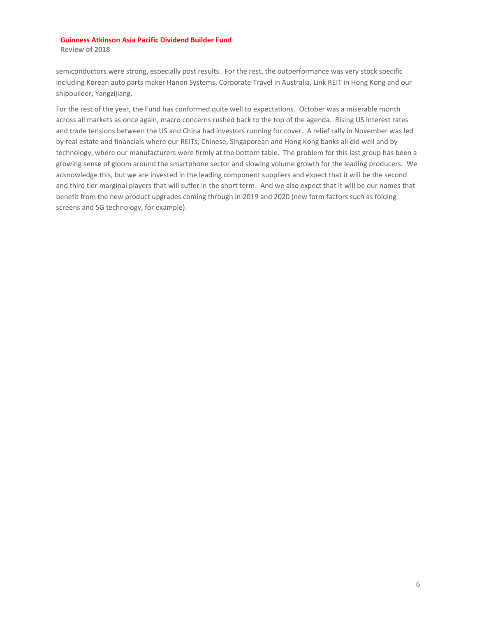**Review of 2018**

semiconductors were strong, especially post results. For the rest, the outperformance was very stock specific including Korean auto parts maker Hanon Systems, Corporate Travel in Australia, Link REIT in Hong Kong and our shipbuilder, Yangzijiang.

For the rest of the year, the Fund has conformed quite well to expectations. October was a miserable month across all markets as once again, macro concerns rushed back to the top of the agenda. Rising US interest rates and trade tensions between the US and China had investors running for cover. A relief rally in November was led by real estate and financials where our REITs, Chinese, Singaporean and Hong Kong banks all did well and by technology, where our manufacturers were firmly at the bottom table. The problem for this last group has been a growing sense of gloom around the smartphone sector and slowing volume growth for the leading producers. We acknowledge this, but we are invested in the leading component suppliers and expect that it will be the second and third tier marginal players that will suffer in the short term. And we also expect that it will be our names that benefit from the new product upgrades coming through in 2019 and 2020 (new form factors such as folding screens and 5G technology, for example).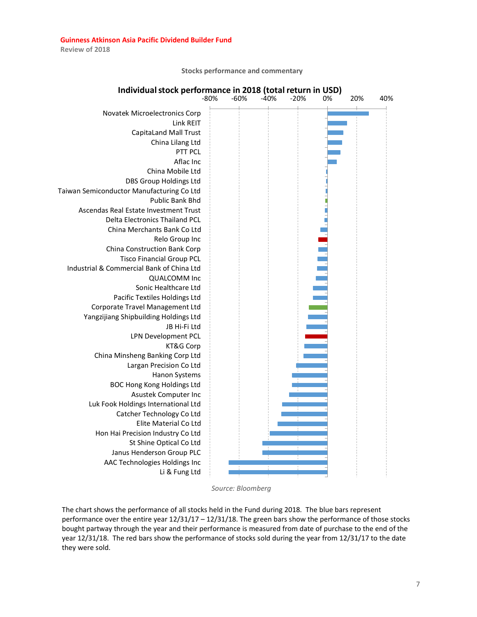

#### **Stocks performance and commentary**

*Source: Bloomberg*

The chart shows the performance of all stocks held in the Fund during 2018. The blue bars represent performance over the entire year 12/31/17 – 12/31/18. The green bars show the performance of those stocks bought partway through the year and their performance is measured from date of purchase to the end of the year 12/31/18. The red bars show the performance of stocks sold during the year from 12/31/17 to the date they were sold.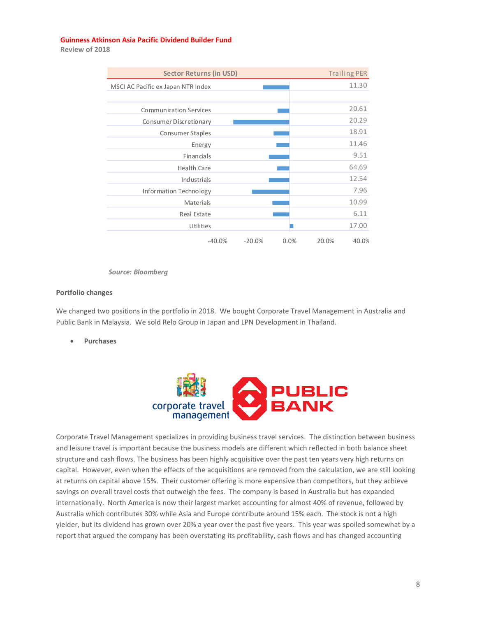**Review of 2018**

| <b>Sector Returns (in USD)</b>     |          | <b>Trailing PER</b>    |
|------------------------------------|----------|------------------------|
| MSCI AC Pacific ex Japan NTR Index |          | 11.30                  |
|                                    |          |                        |
| <b>Communication Services</b>      |          | 20.61                  |
| Consumer Discretionary             |          | 20.29                  |
| Consumer Staples                   |          | 18.91                  |
| Energy                             |          | 11.46                  |
| Financials                         |          | 9.51                   |
| <b>Health Care</b>                 |          | 64.69                  |
| <b>Industrials</b>                 |          | 12.54                  |
| Information Technology             |          | 7.96                   |
| Materials                          |          | 10.99                  |
| Real Estate                        |          | 6.11                   |
| Utilities                          |          | 17.00                  |
| $-40.0%$                           | $-20.0%$ | 0.0%<br>20.0%<br>40.0% |

#### *Source: Bloomberg*

#### **Portfolio changes**

We changed two positions in the portfolio in 2018. We bought Corporate Travel Management in Australia and Public Bank in Malaysia. We sold Relo Group in Japan and LPN Development in Thailand.

• **Purchases**



Corporate Travel Management specializes in providing business travel services. The distinction between business and leisure travel is important because the business models are different which reflected in both balance sheet structure and cash flows. The business has been highly acquisitive over the past ten years very high returns on capital. However, even when the effects of the acquisitions are removed from the calculation, we are still looking at returns on capital above 15%. Their customer offering is more expensive than competitors, but they achieve savings on overall travel costs that outweigh the fees. The company is based in Australia but has expanded internationally. North America is now their largest market accounting for almost 40% of revenue, followed by Australia which contributes 30% while Asia and Europe contribute around 15% each. The stock is not a high yielder, but its dividend has grown over 20% a year over the past five years. This year was spoiled somewhat by a report that argued the company has been overstating its profitability, cash flows and has changed accounting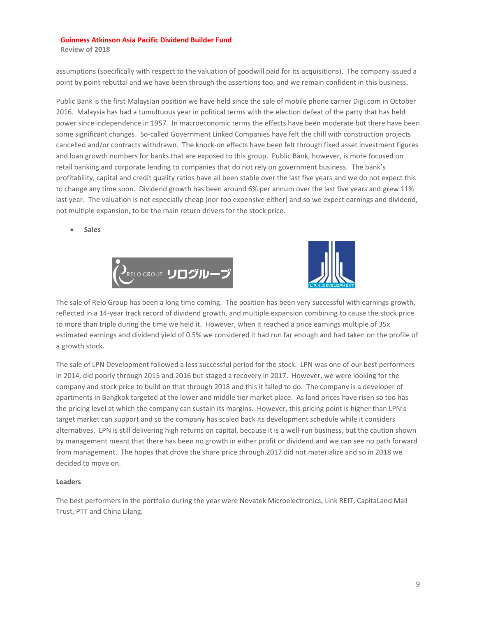**Review of 2018**

assumptions (specifically with respect to the valuation of goodwill paid for its acquisitions). The company issued a point by point rebuttal and we have been through the assertions too, and we remain confident in this business.

Public Bank is the first Malaysian position we have held since the sale of mobile phone carrier Digi.com in October 2016. Malaysia has had a tumultuous year in political terms with the election defeat of the party that has held power since independence in 1957. In macroeconomic terms the effects have been moderate but there have been some significant changes. So-called Government Linked Companies have felt the chill with construction projects cancelled and/or contracts withdrawn. The knock-on effects have been felt through fixed asset investment figures and loan growth numbers for banks that are exposed to this group. Public Bank, however, is more focused on retail banking and corporate lending to companies that do not rely on government business. The bank's profitability, capital and credit quality ratios have all been stable over the last five years and we do not expect this to change any time soon. Dividend growth has been around 6% per annum over the last five years and grew 11% last year. The valuation is not especially cheap (nor too expensive either) and so we expect earnings and dividend, not multiple expansion, to be the main return drivers for the stock price.

• **Sales**





The sale of Relo Group has been a long time coming. The position has been very successful with earnings growth, reflected in a 14-year track record of dividend growth, and multiple expansion combining to cause the stock price to more than triple during the time we held it. However, when it reached a price earnings multiple of 35x estimated earnings and dividend yield of 0.5% we considered it had run far enough and had taken on the profile of a growth stock.

The sale of LPN Development followed a less successful period for the stock. LPN was one of our best performers in 2014, did poorly through 2015 and 2016 but staged a recovery in 2017. However, we were looking for the company and stock price to build on that through 2018 and this it failed to do. The company is a developer of apartments in Bangkok targeted at the lower and middle tier market place. As land prices have risen so too has the pricing level at which the company can sustain its margins. However, this pricing point is higher than LPN's target market can support and so the company has scaled back its development schedule while it considers alternatives. LPN is still delivering high returns on capital, because it is a well-run business, but the caution shown by management meant that there has been no growth in either profit or dividend and we can see no path forward from management. The hopes that drove the share price through 2017 did not materialize and so in 2018 we decided to move on.

#### **Leaders**

The best performers in the portfolio during the year were Novatek Microelectronics, Link REIT, CapitaLand Mall Trust, PTT and China Lilang.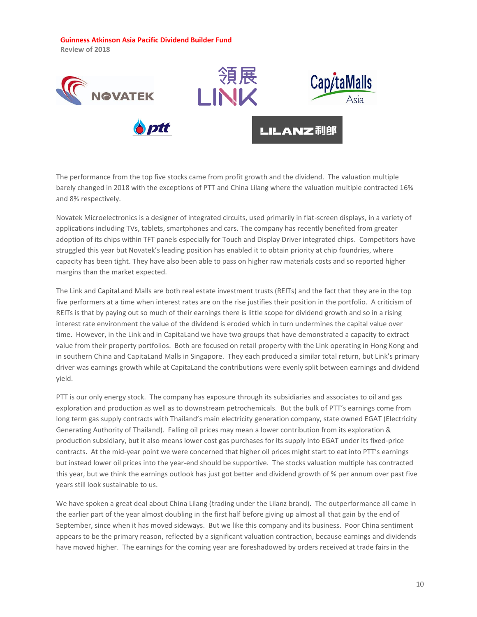**Review of 2018**



The performance from the top five stocks came from profit growth and the dividend. The valuation multiple barely changed in 2018 with the exceptions of PTT and China Lilang where the valuation multiple contracted 16% and 8% respectively.

Novatek Microelectronics is a designer of integrated circuits, used primarily in flat-screen displays, in a variety of applications including TVs, tablets, smartphones and cars. The company has recently benefited from greater adoption of its chips within TFT panels especially for Touch and Display Driver integrated chips. Competitors have struggled this year but Novatek's leading position has enabled it to obtain priority at chip foundries, where capacity has been tight. They have also been able to pass on higher raw materials costs and so reported higher margins than the market expected.

The Link and CapitaLand Malls are both real estate investment trusts (REITs) and the fact that they are in the top five performers at a time when interest rates are on the rise justifies their position in the portfolio. A criticism of REITs is that by paying out so much of their earnings there is little scope for dividend growth and so in a rising interest rate environment the value of the dividend is eroded which in turn undermines the capital value over time. However, in the Link and in CapitaLand we have two groups that have demonstrated a capacity to extract value from their property portfolios. Both are focused on retail property with the Link operating in Hong Kong and in southern China and CapitaLand Malls in Singapore. They each produced a similar total return, but Link's primary driver was earnings growth while at CapitaLand the contributions were evenly split between earnings and dividend yield.

PTT is our only energy stock. The company has exposure through its subsidiaries and associates to oil and gas exploration and production as well as to downstream petrochemicals. But the bulk of PTT's earnings come from long term gas supply contracts with Thailand's main electricity generation company, state owned EGAT (Electricity Generating Authority of Thailand). Falling oil prices may mean a lower contribution from its exploration & production subsidiary, but it also means lower cost gas purchases for its supply into EGAT under its fixed-price contracts. At the mid-year point we were concerned that higher oil prices might start to eat into PTT's earnings but instead lower oil prices into the year-end should be supportive. The stocks valuation multiple has contracted this year, but we think the earnings outlook has just got better and dividend growth of % per annum over past five years still look sustainable to us.

We have spoken a great deal about China Lilang (trading under the Lilanz brand). The outperformance all came in the earlier part of the year almost doubling in the first half before giving up almost all that gain by the end of September, since when it has moved sideways. But we like this company and its business. Poor China sentiment appears to be the primary reason, reflected by a significant valuation contraction, because earnings and dividends have moved higher. The earnings for the coming year are foreshadowed by orders received at trade fairs in the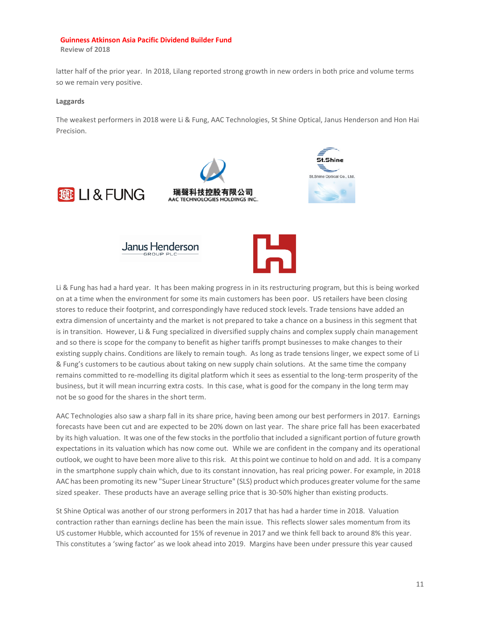**Review of 2018**

latter half of the prior year. In 2018, Lilang reported strong growth in new orders in both price and volume terms so we remain very positive.

#### **Laggards**

The weakest performers in 2018 were Li & Fung, AAC Technologies, St Shine Optical, Janus Henderson and Hon Hai Precision.











Li & Fung has had a hard year. It has been making progress in in its restructuring program, but this is being worked on at a time when the environment for some its main customers has been poor. US retailers have been closing stores to reduce their footprint, and correspondingly have reduced stock levels. Trade tensions have added an extra dimension of uncertainty and the market is not prepared to take a chance on a business in this segment that is in transition. However, Li & Fung specialized in diversified supply chains and complex supply chain management and so there is scope for the company to benefit as higher tariffs prompt businesses to make changes to their existing supply chains. Conditions are likely to remain tough. As long as trade tensions linger, we expect some of Li & Fung's customers to be cautious about taking on new supply chain solutions. At the same time the company remains committed to re-modelling its digital platform which it sees as essential to the long-term prosperity of the business, but it will mean incurring extra costs. In this case, what is good for the company in the long term may not be so good for the shares in the short term.

AAC Technologies also saw a sharp fall in its share price, having been among our best performers in 2017. Earnings forecasts have been cut and are expected to be 20% down on last year. The share price fall has been exacerbated by its high valuation. It was one of the few stocks in the portfolio that included a significant portion of future growth expectations in its valuation which has now come out. While we are confident in the company and its operational outlook, we ought to have been more alive to this risk. At this point we continue to hold on and add. It is a company in the smartphone supply chain which, due to its constant innovation, has real pricing power. For example, in 2018 AAC has been promoting its new "Super Linear Structure" (SLS) product which produces greater volume for the same sized speaker. These products have an average selling price that is 30-50% higher than existing products.

St Shine Optical was another of our strong performers in 2017 that has had a harder time in 2018. Valuation contraction rather than earnings decline has been the main issue. This reflects slower sales momentum from its US customer Hubble, which accounted for 15% of revenue in 2017 and we think fell back to around 8% this year. This constitutes a 'swing factor' as we look ahead into 2019. Margins have been under pressure this year caused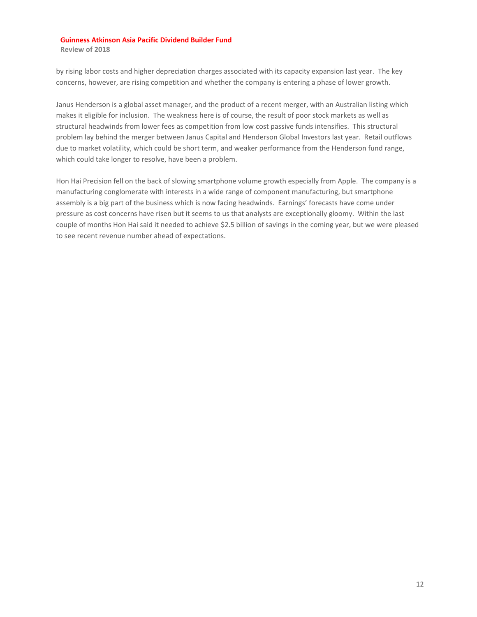**Review of 2018**

by rising labor costs and higher depreciation charges associated with its capacity expansion last year. The key concerns, however, are rising competition and whether the company is entering a phase of lower growth.

Janus Henderson is a global asset manager, and the product of a recent merger, with an Australian listing which makes it eligible for inclusion. The weakness here is of course, the result of poor stock markets as well as structural headwinds from lower fees as competition from low cost passive funds intensifies. This structural problem lay behind the merger between Janus Capital and Henderson Global Investors last year. Retail outflows due to market volatility, which could be short term, and weaker performance from the Henderson fund range, which could take longer to resolve, have been a problem.

Hon Hai Precision fell on the back of slowing smartphone volume growth especially from Apple. The company is a manufacturing conglomerate with interests in a wide range of component manufacturing, but smartphone assembly is a big part of the business which is now facing headwinds. Earnings' forecasts have come under pressure as cost concerns have risen but it seems to us that analysts are exceptionally gloomy. Within the last couple of months Hon Hai said it needed to achieve \$2.5 billion of savings in the coming year, but we were pleased to see recent revenue number ahead of expectations.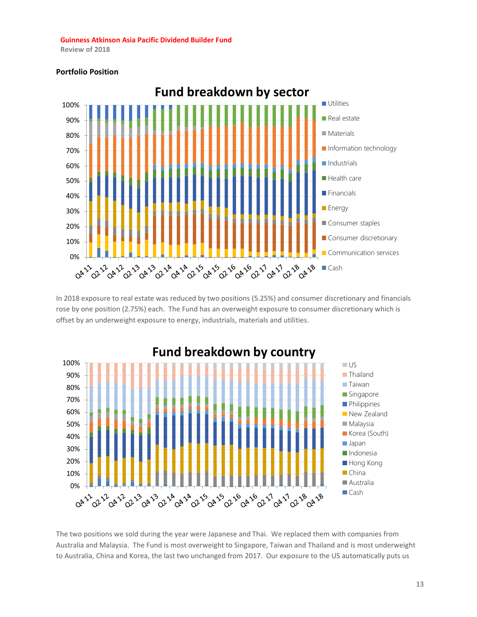**Review of 2018**



In 2018 exposure to real estate was reduced by two positions (5.25%) and consumer discretionary and financials rose by one position (2.75%) each. The Fund has an overweight exposure to consumer discretionary which is offset by an underweight exposure to energy, industrials, materials and utilities.



The two positions we sold during the year were Japanese and Thai. We replaced them with companies from Australia and Malaysia. The Fund is most overweight to Singapore, Taiwan and Thailand and is most underweight to Australia, China and Korea, the last two unchanged from 2017. Our exposure to the US automatically puts us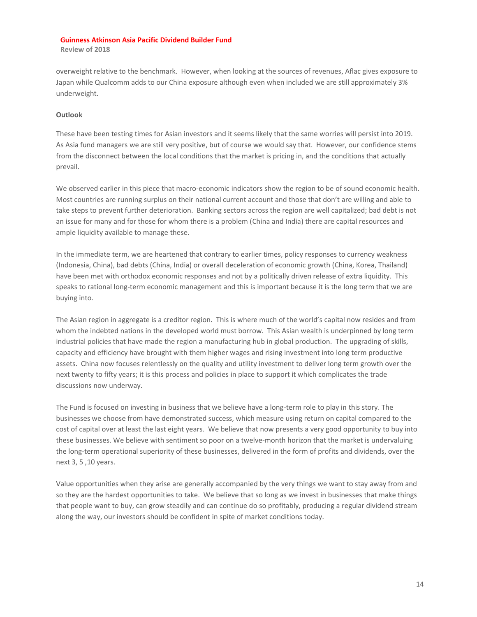**Review of 2018**

overweight relative to the benchmark. However, when looking at the sources of revenues, Aflac gives exposure to Japan while Qualcomm adds to our China exposure although even when included we are still approximately 3% underweight.

#### **Outlook**

These have been testing times for Asian investors and it seems likely that the same worries will persist into 2019. As Asia fund managers we are still very positive, but of course we would say that. However, our confidence stems from the disconnect between the local conditions that the market is pricing in, and the conditions that actually prevail.

We observed earlier in this piece that macro-economic indicators show the region to be of sound economic health. Most countries are running surplus on their national current account and those that don't are willing and able to take steps to prevent further deterioration. Banking sectors across the region are well capitalized; bad debt is not an issue for many and for those for whom there is a problem (China and India) there are capital resources and ample liquidity available to manage these.

In the immediate term, we are heartened that contrary to earlier times, policy responses to currency weakness (Indonesia, China), bad debts (China, India) or overall deceleration of economic growth (China, Korea, Thailand) have been met with orthodox economic responses and not by a politically driven release of extra liquidity. This speaks to rational long-term economic management and this is important because it is the long term that we are buying into.

The Asian region in aggregate is a creditor region. This is where much of the world's capital now resides and from whom the indebted nations in the developed world must borrow. This Asian wealth is underpinned by long term industrial policies that have made the region a manufacturing hub in global production. The upgrading of skills, capacity and efficiency have brought with them higher wages and rising investment into long term productive assets. China now focuses relentlessly on the quality and utility investment to deliver long term growth over the next twenty to fifty years; it is this process and policies in place to support it which complicates the trade discussions now underway.

The Fund is focused on investing in business that we believe have a long-term role to play in this story. The businesses we choose from have demonstrated success, which measure using return on capital compared to the cost of capital over at least the last eight years. We believe that now presents a very good opportunity to buy into these businesses. We believe with sentiment so poor on a twelve-month horizon that the market is undervaluing the long-term operational superiority of these businesses, delivered in the form of profits and dividends, over the next 3, 5 ,10 years.

Value opportunities when they arise are generally accompanied by the very things we want to stay away from and so they are the hardest opportunities to take. We believe that so long as we invest in businesses that make things that people want to buy, can grow steadily and can continue do so profitably, producing a regular dividend stream along the way, our investors should be confident in spite of market conditions today.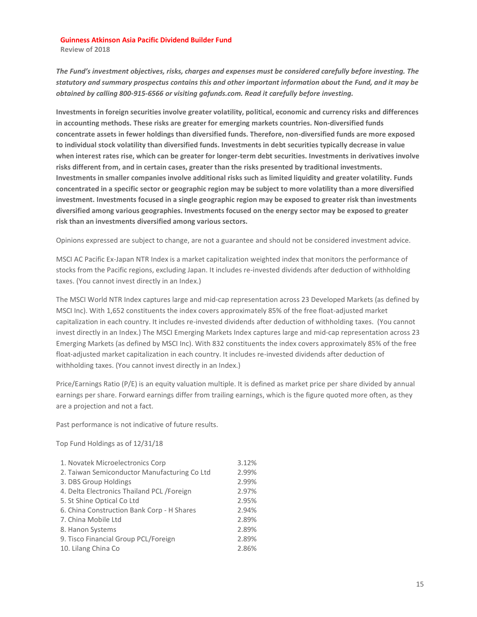**Review of 2018**

*The Fund's investment objectives, risks, charges and expenses must be considered carefully before investing. The statutory and summary prospectus contains this and other important information about the Fund, and it may be obtained by calling 800-915-6566 or visiting gafunds.com. Read it carefully before investing.*

**Investments in foreign securities involve greater volatility, political, economic and currency risks and differences in accounting methods. These risks are greater for emerging markets countries. Non-diversified funds concentrate assets in fewer holdings than diversified funds. Therefore, non-diversified funds are more exposed to individual stock volatility than diversified funds. Investments in debt securities typically decrease in value when interest rates rise, which can be greater for longer-term debt securities. Investments in derivatives involve risks different from, and in certain cases, greater than the risks presented by traditional investments. Investments in smaller companies involve additional risks such as limited liquidity and greater volatility. Funds concentrated in a specific sector or geographic region may be subject to more volatility than a more diversified investment. Investments focused in a single geographic region may be exposed to greater risk than investments diversified among various geographies. Investments focused on the energy sector may be exposed to greater risk than an investments diversified among various sectors.**

Opinions expressed are subject to change, are not a guarantee and should not be considered investment advice.

MSCI AC Pacific Ex-Japan NTR Index is a market capitalization weighted index that monitors the performance of stocks from the Pacific regions, excluding Japan. It includes re-invested dividends after deduction of withholding taxes. (You cannot invest directly in an Index.)

The MSCI World NTR Index captures large and mid-cap representation across 23 Developed Markets (as defined by MSCI Inc). With 1,652 constituents the index covers approximately 85% of the free float-adjusted market capitalization in each country. It includes re-invested dividends after deduction of withholding taxes. (You cannot invest directly in an Index.) The MSCI Emerging Markets Index captures large and mid-cap representation across 23 Emerging Markets (as defined by MSCI Inc). With 832 constituents the index covers approximately 85% of the free float-adjusted market capitalization in each country. It includes re-invested dividends after deduction of withholding taxes. (You cannot invest directly in an Index.)

Price/Earnings Ratio (P/E) is an equity valuation multiple. It is defined as market price per share divided by annual earnings per share. Forward earnings differ from trailing earnings, which is the figure quoted more often, as they are a projection and not a fact.

Past performance is not indicative of future results.

Top Fund Holdings as of 12/31/18

| 1. Novatek Microelectronics Corp             | 3.12% |
|----------------------------------------------|-------|
| 2. Taiwan Semiconductor Manufacturing Co Ltd | 2.99% |
| 3. DBS Group Holdings                        | 2.99% |
| 4. Delta Electronics Thailand PCL /Foreign   | 2.97% |
| 5. St Shine Optical Co Ltd                   | 2.95% |
| 6. China Construction Bank Corp - H Shares   | 2.94% |
| 7. China Mobile Ltd                          | 2.89% |
| 8. Hanon Systems                             | 2.89% |
| 9. Tisco Financial Group PCL/Foreign         | 2.89% |
| 10. Lilang China Co                          | 2.86% |
|                                              |       |